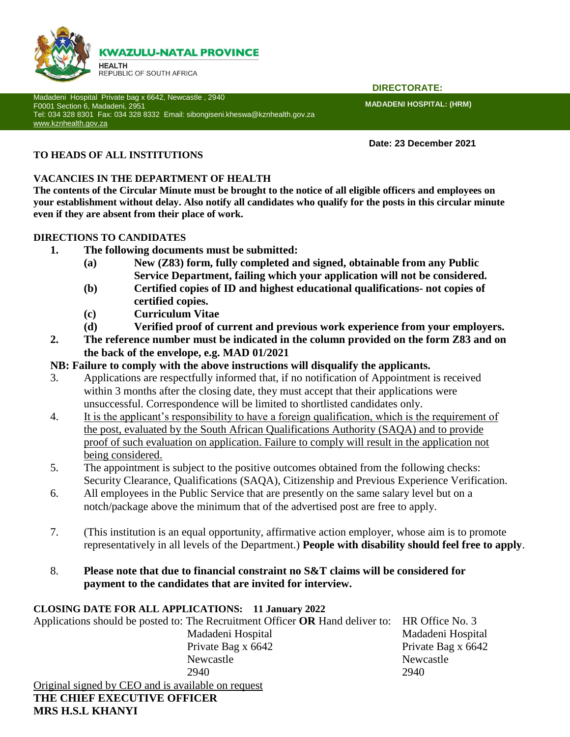

Madadeni Hospital Private bag x 6642, Newcastle , 2940 F0001 Section 6, Madadeni, 2951 Tel: 034 328 8301 Fax: 034 328 8332 Email: sibongiseni.kheswa@kznhealth.gov.za [www.kznhealth.gov.za](http://www.kznhealth.gov.za/)

 **DIRECTORATE:**

**MADADENI HOSPITAL: (HRM)** 

**Date: 23 December 2021**

# **TO HEADS OF ALL INSTITUTIONS**

# **VACANCIES IN THE DEPARTMENT OF HEALTH**

**The contents of the Circular Minute must be brought to the notice of all eligible officers and employees on your establishment without delay. Also notify all candidates who qualify for the posts in this circular minute even if they are absent from their place of work.**

## **DIRECTIONS TO CANDIDATES**

- **1. The following documents must be submitted:**
	- **(a) New (Z83) form, fully completed and signed, obtainable from any Public Service Department, failing which your application will not be considered.**
	- **(b) Certified copies of ID and highest educational qualifications- not copies of certified copies.**
	- **(c) Curriculum Vitae**
	- **(d) Verified proof of current and previous work experience from your employers.**
- **2. The reference number must be indicated in the column provided on the form Z83 and on the back of the envelope, e.g. MAD 01/2021**

# **NB: Failure to comply with the above instructions will disqualify the applicants.**

- 3. Applications are respectfully informed that, if no notification of Appointment is received within 3 months after the closing date, they must accept that their applications were unsuccessful. Correspondence will be limited to shortlisted candidates only.
- 4. It is the applicant's responsibility to have a foreign qualification, which is the requirement of the post, evaluated by the South African Qualifications Authority (SAQA) and to provide proof of such evaluation on application. Failure to comply will result in the application not being considered.
- 5. The appointment is subject to the positive outcomes obtained from the following checks: Security Clearance, Qualifications (SAQA), Citizenship and Previous Experience Verification.
- 6. All employees in the Public Service that are presently on the same salary level but on a notch/package above the minimum that of the advertised post are free to apply.
- 7. (This institution is an equal opportunity, affirmative action employer, whose aim is to promote representatively in all levels of the Department.) **People with disability should feel free to apply**.
- 8. **Please note that due to financial constraint no S&T claims will be considered for payment to the candidates that are invited for interview.**

# **CLOSING DATE FOR ALL APPLICATIONS: 11 January 2022**

Applications should be posted to: The Recruitment Officer **OR** Hand deliver to: HR Office No. 3 Madadeni Hospital Madadeni Hospital Private Bag x 6642 Private Bag x 6642 Newcastle Newcastle Newcastle 2940 2940 Original signed by CEO and is available on request **THE CHIEF EXECUTIVE OFFICER**

# **MRS H.S.L KHANYI**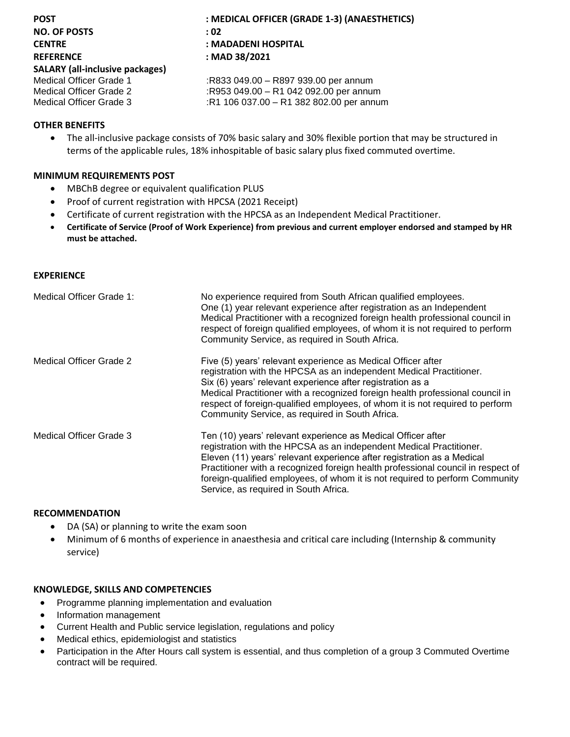| <b>POST</b>                            | : MEDICAL OFFICER (GRADE 1-3) (ANAESTHETICS) |
|----------------------------------------|----------------------------------------------|
| <b>NO. OF POSTS</b>                    | : 02                                         |
| <b>CENTRE</b>                          | : MADADENI HOSPITAL                          |
| <b>REFERENCE</b>                       | : MAD 38/2021                                |
| <b>SALARY (all-inclusive packages)</b> |                                              |
| Medical Officer Grade 1                | :R833 049.00 - R897 939.00 per annum         |
| Medical Officer Grade 2                | :R953 049.00 - R1 042 092.00 per annum       |
| Medical Officer Grade 3                | :R1 106 037.00 - R1 382 802.00 per annum     |
|                                        |                                              |

## **OTHER BENEFITS**

 The all-inclusive package consists of 70% basic salary and 30% flexible portion that may be structured in terms of the applicable rules, 18% inhospitable of basic salary plus fixed commuted overtime.

## **MINIMUM REQUIREMENTS POST**

- MBChB degree or equivalent qualification PLUS
- Proof of current registration with HPCSA (2021 Receipt)
- Certificate of current registration with the HPCSA as an Independent Medical Practitioner.
- **Certificate of Service (Proof of Work Experience) from previous and current employer endorsed and stamped by HR must be attached.**

#### **EXPERIENCE**

| Medical Officer Grade 1: | No experience required from South African qualified employees.<br>One (1) year relevant experience after registration as an Independent<br>Medical Practitioner with a recognized foreign health professional council in<br>respect of foreign qualified employees, of whom it is not required to perform<br>Community Service, as required in South Africa.                                                               |
|--------------------------|----------------------------------------------------------------------------------------------------------------------------------------------------------------------------------------------------------------------------------------------------------------------------------------------------------------------------------------------------------------------------------------------------------------------------|
| Medical Officer Grade 2  | Five (5) years' relevant experience as Medical Officer after<br>registration with the HPCSA as an independent Medical Practitioner.<br>Six (6) years' relevant experience after registration as a<br>Medical Practitioner with a recognized foreign health professional council in<br>respect of foreign-qualified employees, of whom it is not required to perform<br>Community Service, as required in South Africa.     |
| Medical Officer Grade 3  | Ten (10) years' relevant experience as Medical Officer after<br>registration with the HPCSA as an independent Medical Practitioner.<br>Eleven (11) years' relevant experience after registration as a Medical<br>Practitioner with a recognized foreign health professional council in respect of<br>foreign-qualified employees, of whom it is not required to perform Community<br>Service, as required in South Africa. |

### **RECOMMENDATION**

- DA (SA) or planning to write the exam soon
- Minimum of 6 months of experience in anaesthesia and critical care including (Internship & community service)

### **KNOWLEDGE, SKILLS AND COMPETENCIES**

- Programme planning implementation and evaluation
- Information management
- Current Health and Public service legislation, regulations and policy
- Medical ethics, epidemiologist and statistics
- Participation in the After Hours call system is essential, and thus completion of a group 3 Commuted Overtime contract will be required.